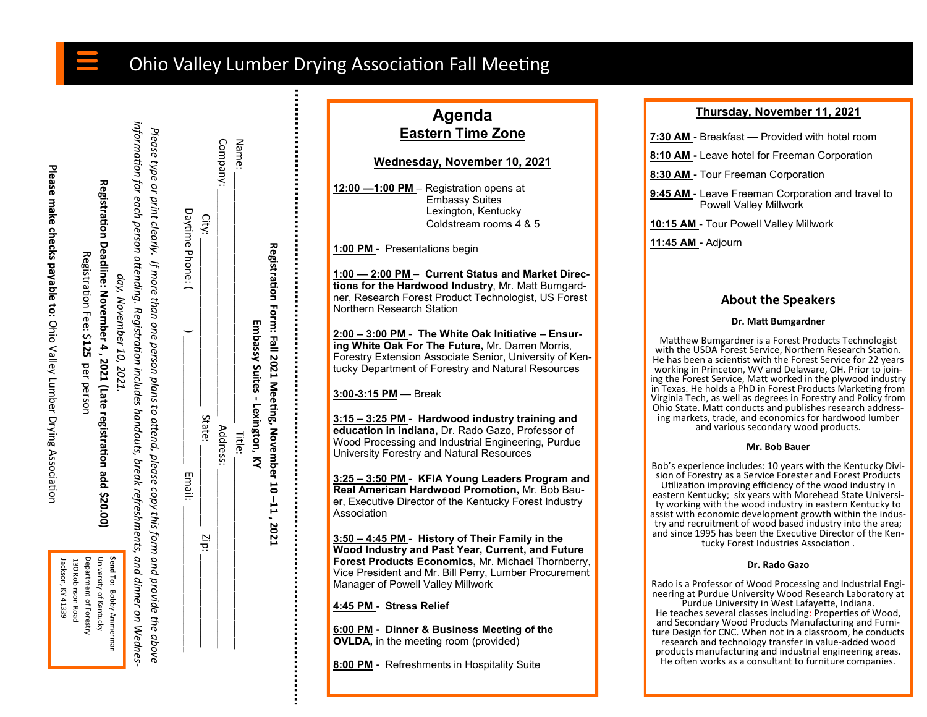# Ohio Valley Lumber Drying Association Fall Meeting

Please make checks payable to: Ohio Valley Lumber Drying Association **Please make checks payable to:** Ohio Valley Lumber Drying Association

**Registration Deadline: November 4 , 2021 (Late registration add \$20.00)**

Registration Deadline: November 4, 2021 (Late registration add \$20.00)

Registration Fee: \$

Registration Fee:

**125** 

per person

per person

| day, November 10, 2021. | injormation or Readro and Designation includes bandouts, break is first information in the procedus of Nedies, |                                                                                                                    | Daytime Phone: |
|-------------------------|----------------------------------------------------------------------------------------------------------------|--------------------------------------------------------------------------------------------------------------------|----------------|
|                         |                                                                                                                | Please type or print clearly. If more than one person plans to attend, please copy this form and provide the above | Email:         |

| Agenda                   |  |  |  |  |  |
|--------------------------|--|--|--|--|--|
| <b>Eastern Time Zone</b> |  |  |  |  |  |
|                          |  |  |  |  |  |

**Wednesday, November 10, 2021**

**12:00 —1:00 PM** – Registration opens at Embassy Suites Lexington, Kentucky Coldstream rooms 4 & 5

**1:00 PM** - Presentations begin

**1:00 — 2:00 PM** – **Current Status and Market Directions for the Hardwood Industry**, Mr. Matt Bumgardner, Research Forest Product Technologist, US Forest Northern Research Station

**2:00 – 3:00 PM** - **The White Oak Initiative – Ensuring White Oak For The Future,** Mr. Darren Morris, Forestry Extension Associate Senior, University of Kentucky Department of Forestry and Natural Resources

**3:00-3:15 PM** — Break

**Registration Form: Fall 2021 Meeting, November 10** 

**Embassy Suites** 

Embassy Suites - Lexington, KY

 $\mathsf{Addness}$ :  $\mathsf{Addness}$ :  $\mathsf{Addness}$ :  $\mathsf{Addness}$  . Name: \_\_\_\_\_\_\_\_\_\_\_\_\_\_\_\_\_\_\_\_\_\_\_\_\_\_\_\_\_\_\_\_\_\_\_\_\_\_\_\_\_\_\_ Title: \_\_\_\_\_\_\_\_\_\_\_\_\_\_\_\_\_\_\_\_\_\_\_\_\_\_\_\_\_\_\_\_\_

Address: **Title:** 

Company: Name:

Daytin City:

 $\mathrm{Civ}_\mathbf{L} = \begin{bmatrix} \mathbf{Z} & \mathbf{Z} & \mathbf{Z} \\ \mathbf{Z} & \mathbf{Z} & \mathbf{Z} \\ \mathbf{Z} & \mathbf{Z} & \mathbf{Z} \end{bmatrix}$ 

Zip:

State:

**Lexington, KY**

**–11 , 2021** 

**3:15 – 3:25 PM** - **Hardwood industry training and education in Indiana,** Dr. Rado Gazo, Professor of Wood Processing and Industrial Engineering, Purdue University Forestry and Natural Resources

**3:25 – 3:50 PM** - **KFIA Young Leaders Program and Real American Hardwood Promotion,** Mr. Bob Bauer, Executive Director of the Kentucky Forest Industry Association

**3:50 – 4:45 PM** - **History of Their Family in the Wood Industry and Past Year, Current, and Future Forest Products Economics,** Mr. Michael Thornberry, Vice President and Mr. Bill Perry, Lumber Procurement Manager of Powell Valley Millwork

**4:45 PM - Stress Relief**

**6:00 PM - Dinner & Business Meeting of the OVLDA,** in the meeting room (provided)

**8:00 PM -** Refreshments in Hospitality Suite

# **Thursday, November 11, 2021**

**7:30 AM -** Breakfast — Provided with hotel room

**8:10 AM -** Leave hotel for Freeman Corporation

**8:30 AM -** Tour Freeman Corporation

**9:45 AM** - Leave Freeman Corporation and travel to Powell Valley Millwork

**10:15 AM** - Tour Powell Valley Millwork

**11:45 AM -** Adjourn

# **About the Speakers**

## **Dr. Matt Bumgardner**

Matthew Bumgardner is a Forest Products Technologist with the USDA Forest Service, Northern Research Station. He has been a scientist with the Forest Service for 22 years working in Princeton, WV and Delaware, OH. Prior to joining the Forest Service, Matt worked in the plywood industry in Texas. He holds a PhD in Forest Products Marketing from Virginia Tech, as well as degrees in Forestry and Policy from Ohio State. Matt conducts and publishes research addressing markets, trade, and economics for hardwood lumber and various secondary wood products.

#### **Mr. Bob Bauer**

Bob's experience includes: 10 years with the Kentucky Division of Forestry as a Service Forester and Forest Products Utilization improving efficiency of the wood industry in eastern Kentucky; six years with Morehead State University working with the wood industry in eastern Kentucky to assist with economic development growth within the industry and recruitment of wood based industry into the area; and since 1995 has been the Executive Director of the Kentucky Forest Industries Association .

#### **Dr. Rado Gazo**

Rado is a Professor of Wood Processing and Industrial Engineering at Purdue University Wood Research Laboratory at Purdue University in West Lafayette, Indiana. He teaches several classes including: Properties of Wood, and Secondary Wood Products Manufacturing and Furniture Design for CNC. When not in a classroom, he conducts research and technology transfer in value-added wood products manufacturing and industrial engineering areas. He often works as a consultant to furniture companies.

Send To: Bobby Ammerman Department of Forestry University of Kentucky 130 Robinson Road Department of Forestry University of Kentucky **Send To:** Jackson, KY 41339 Jackson, KY 41339 130 Robinson Road Bobby Ammerman